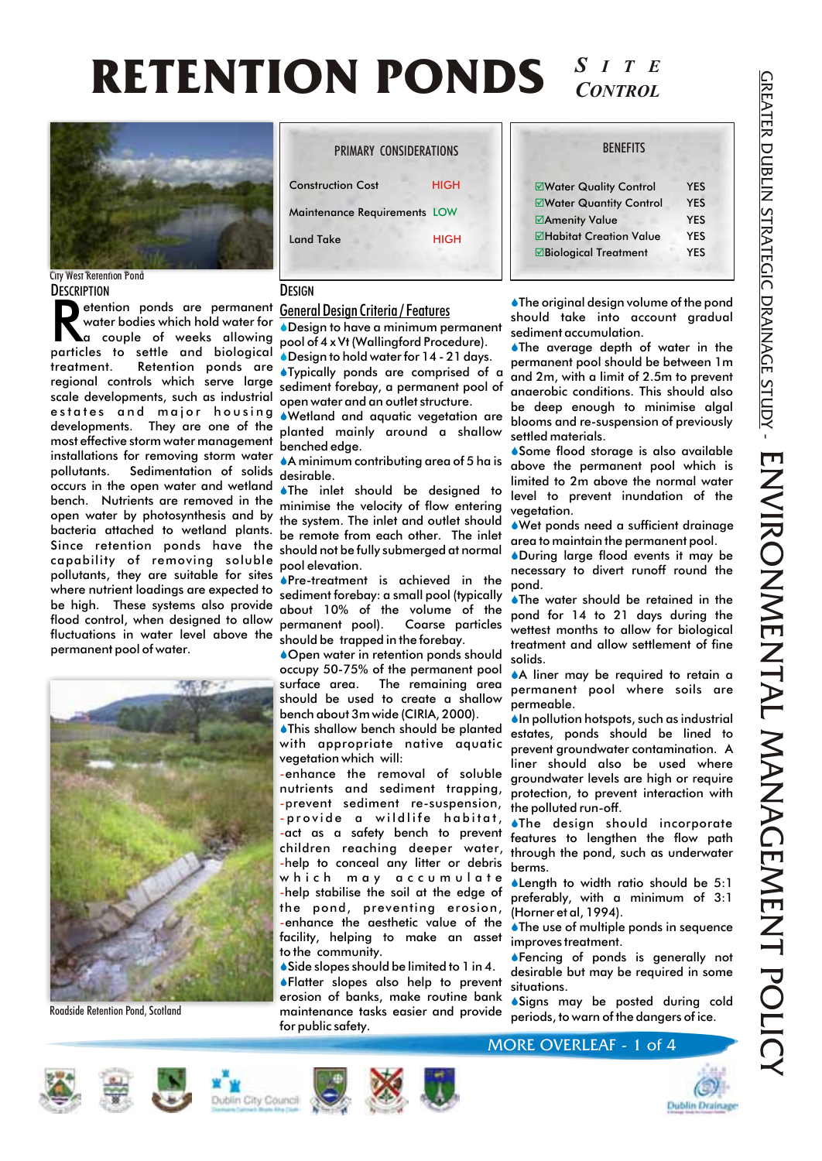#### **RETENTION PONDS** *S ITE CONTROL*



**DESCRIPTION** City West Retention Pond

etention ponds are permanent <u>General Design Criteria / Features</u><br>
water bodies which hold water for **a bulge body to a couple** of weeks allowing pool of 4 x Vt (Wallingford Procedure).<br>
particles to settle and biological particles to settle and biological treatment. Retention ponds are Typically ponds are comprised of a regional controls which serve large sediment forebay, a permanent pool of scale developments, such as industrial open water and an outlet structure. estates and major housing Wetland and aquatic vegetation are S developments. They are one of the planted mainly around a shallow most effective storm water management benched edge. installations for removing storm water A minimum contributing area of 5 ha is pollutants. Sedimentation of solids desirable. occurs in the open water and wetland bench. Nutrients are removed in the minimise the velocity of flow entering open water by photosynthesis and by bacteria attached to wetland plants. Since retention ponds have the capability of removing soluble pollutants, they are suitable for sites where nutrient loadings are expected to be high. These systems also provide about 10% of the volume of the flood control, when designed to allow fluctuations in water level above the permanent pool of water. etention ponds are permanent General Design Criteria / Features



Roadside Retention Pond, Scotland

| PRIMARY CONSIDERATIONS       |             |
|------------------------------|-------------|
| <b>Construction Cost</b>     | <b>HIGH</b> |
| Maintenance Requirements LOW |             |
| <b>Land Take</b>             | <b>HIGH</b> |
|                              |             |

#### **DESIGN**

Design to have a minimum permanent S

Design to hold water for 14 - 21 days. S

 $\bullet$ The inlet should be designed to the system. The inlet and outlet should be remote from each other. The inlet should not be fully submerged at normal pool elevation.

**S**Pre-treatment is achieved in the sediment forebay: a small pool (typically permanent pool). Coarse particles should be trapped in the forebay.

◆ Open water in retention ponds should occupy 50-75% of the permanent pool surface area. The remaining area should be used to create a shallow bench about 3m wide (CIRIA, 2000).

**This shallow bench should be planted** with appropriate native aquatic vegetation which will:

enhance the removal of soluble nutrients and sediment trapping, -prevent sediment re-suspension, provide a wildlife habitat, - -act as a safety bench to prevent children reaching deeper water, -help to conceal any litter or debris which may accumulate help stabilise the soil at the edge of the pond, preventing erosion, enhance the aesthetic value of the facility, helping to make an asset to the community.

◆ Side slopes should be limited to 1 in 4. **S**Flatter slopes also help to prevent erosion of banks, make routine bank maintenance tasks easier and provide for public safety.

**BENFFITS** 

### þ Water Quality Control YES **ØWater Quantity Control YES** þ Amenity Value YES þ Habitat Creation Value YES þ Biological Treatment YES

 $\blacklozenge$  The original design volume of the pond should take into account gradual sediment accumulation.

The average depth of water in the permanent pool should be between 1m and 2m, with a limit of 2.5m to prevent anaerobic conditions. This should also be deep enough to minimise algal blooms and re-suspension of previously settled materials.

S Some flood storage is also available above the permanent pool which is limited to 2m above the normal water level to prevent inundation of the vegetation.

UWet ponds need a sufficient drainage area to maintain the permanent pool.

◆During large flood events it may be necessary to divert runoff round the pond.

The water should be retained in the pond for 14 to 21 days during the wettest months to allow for biological treatment and allow settlement of fine solids.

A liner may be required to retain a permanent pool where soils are permeable.

 $\blacklozenge$  In pollution hotspots, such as industrial estates, ponds should be lined to prevent groundwater contamination. A liner should also be used where groundwater levels are high or require protection, to prevent interaction with the polluted run-off.

**The design should incorporate** features to lengthen the flow path through the pond, such as underwater berms.

 $\blacklozenge$  Length to width ratio should be 5:1 preferably, with a minimum of 3:1 (Horner et al, 1994).

 $\blacklozenge$  The use of multiple ponds in sequence improves treatment.

◆Fencing of ponds is generally not desirable but may be required in some situations.

S Signs may be posted during cold periods, to warn of the dangers of ice.











MORE OVERLEAF - 1 of 4

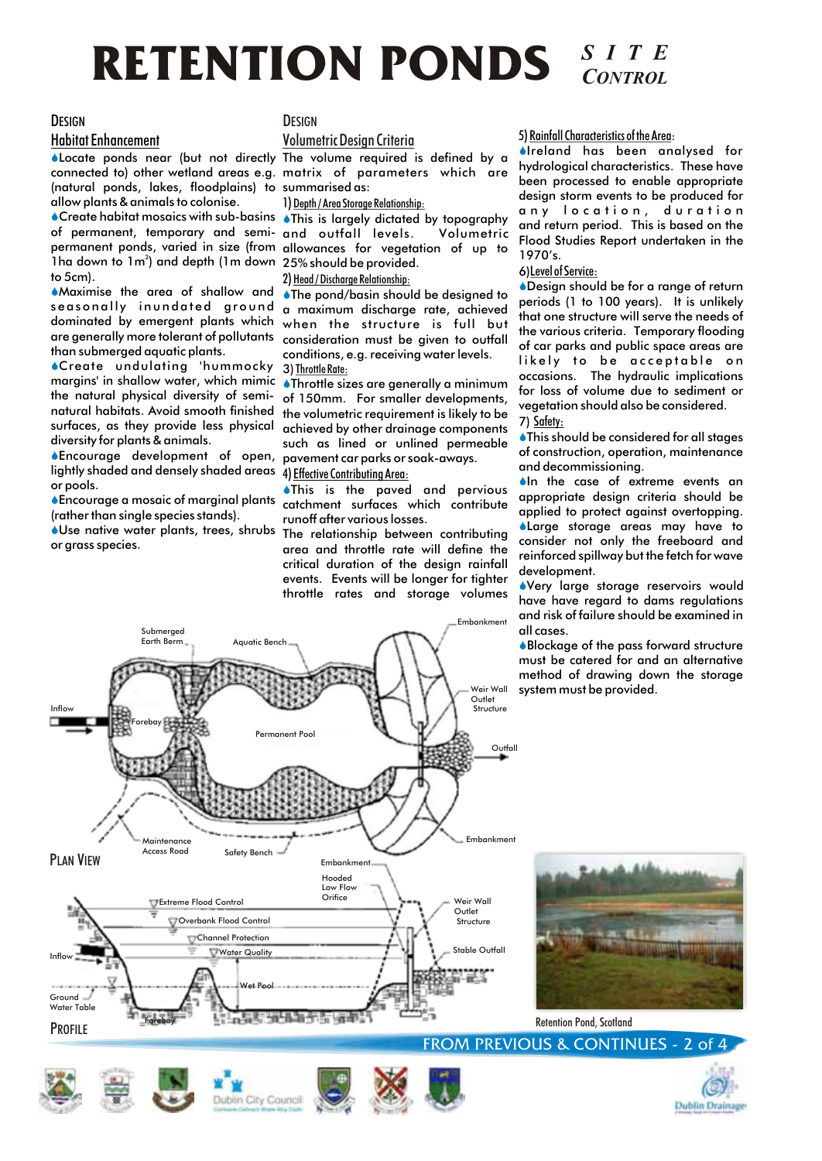# **RETENTION PONDS** *SITE*

#### **DESIGN**

#### Habitat Enhancement

**ALocate ponds near (but not directly The volume required is defined by a** connected to) other wetland areas e.g. matrix of parameters which are (natural ponds, lakes, floodplains) to summarised as: allow plants & animals to colonise.

Create habitat mosaics with sub-basins S This is largely dictated by topography S of permanent, temporary and semi-and outfall levels. Volumetric permanent ponds, varied in size (from allowances for vegetation of up to 1ha down to 1m<sup>2</sup>) and depth (1m down 25% should be provided. to 5cm).

Maximise the area of shallow and S than submerged aquatic plants.

Create undulating 'hummocky S margins' in shallow water, which mimic the natural physical diversity of seminatural habitats. Avoid smooth finished surfaces, as they provide less physical diversity for plants & animals.

lightly shaded and densely shaded areas  $\,$  4) <u>Effective Contributing Area:</u> **S**Encourage development of open, or pools.

**C**Encourage a mosaic of marginal plants catchment surfaces which contribute (rather than single species stands).

Use native water plants, trees, shrubs or grass species.

#### **DESIGN**

#### Volumetric Design Criteria

1) Depth / Area Storage Relationship:

#### 2) Head / Discharge Relationship:

seasonally inundated ground a maximum discharge rate, achieved dominated by emergent plants which when the structure is full but are generally more tolerant of pollutants consideration must be given to outfall ◆The pond/basin should be designed to conditions, e.g. receiving water levels. 3)Throttle Rate:

> Throttle sizes are generally a minimum S of 150mm. For smaller developments, the volumetric requirement is likely to be achieved by other drainage components such as lined or unlined permeable pavement car parks or soak-aways.

# This is the paved and pervious S

runoff after various losses. The relationship between contributing area and throttle rate will define the critical duration of the design rainfall events. Events will be longer for tighter throttle rates and storage volumes

Embankment

5) Rainfall Characteristics of the Area:

**I**reland has been analysed for hydrological characteristics. These have been processed to enable appropriate design storm events to be produced for any location, duration and return period. This is based on the Flood Studies Report undertaken in the 1970's.

#### 6)Level of Service:

Design should be for a range of return S periods (1 to 100 years). It is unlikely that one structure will serve the needs of the various criteria. Temporary flooding of car parks and public space areas are likely to be acceptable on occasions. The hydraulic implications for loss of volume due to sediment or vegetation should also be considered. 7) Safety:

**This should be considered for all stages** 

of construction, operation, maintenance and decommissioning.

 $\bullet$  In the case of extreme events an appropriate design criteria should be applied to protect against overtopping. Large storage areas may have to S consider not only the freeboard and reinforced spillway but the fetch for wave development.

Very large storage reservoirs would S have have regard to dams regulations and risk of failure should be examined in all cases.

Blockage of the pass forward structure S must be catered for and an alternative method of drawing down the storage system must be provided.



Retention Pond, Scotland









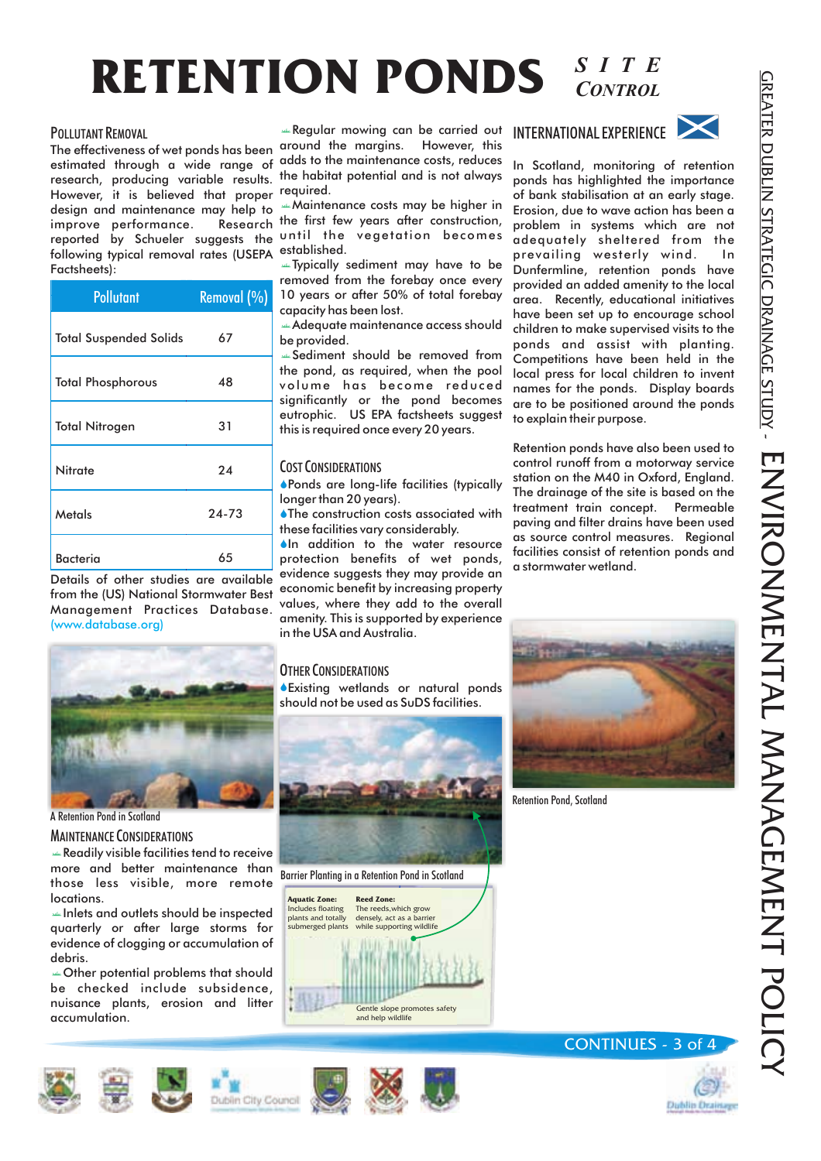# **RETENTION PONDS** *SITE CONTROL*

#### POLLUTANT REMOVAL

estimated through a wide range of adds to the maintenance costs, reduces research, producing variable results. the habitat potential and is not always However, it is believed that proper required. design and maintenance may help to **Maintenance costs may be higher in** improve performance. Research reported by Schueler suggests the until the vegetation becomes following typical removal rates (USEPA established. Factsheets):

| <b>Pollutant</b>              | Removal (%) |
|-------------------------------|-------------|
| <b>Total Suspended Solids</b> | 67          |
| <b>Total Phosphorous</b>      | 48          |
| <b>Total Nitrogen</b>         | 31          |
| Nitrate                       | 24          |
| Metals                        | $24 - 73$   |
| <b>Bacteria</b>               | 65          |

Details of other studies are available from the (US) National Stormwater Best Management Practices Database. (www.database.org)



A Retention Pond in Scotland

**MAINTENANCE CONSIDERATIONS** 

 Readily visible facilities tend to receive more and better maintenance than those less visible, more remote locations.

 Inlets and outlets should be inspected quarterly or after large storms for evidence of clogging or accumulation of debris.

**Example 12** Other potential problems that should be checked include subsidence, nuisance plants, erosion and litter accumulation.

The effectiveness of wet ponds has been around the margins. However, this Regular mowing can be carried out

 $t_{\text{Res,corr}}$  is the first few years after construction,

 Typically sediment may have to be removed from the forebay once every 10 years or after 50% of total forebay capacity has been lost.

 Adequate maintenance access should be provided.

 Sediment should be removed from the pond, as required, when the pool volume has become reduced significantly or the pond becomes eutrophic. US EPA factsheets suggest this is required once every 20 years.

#### COST CONSIDERATIONS

Ponds are long-life facilities (typically longer than 20 years).

The construction costs associated with these facilities vary considerably.

**In addition to the water resource** protection benefits of wet ponds, evidence suggests they may provide an economic benefit by increasing property values, where they add to the overall amenity. This is supported by experience in the USA and Australia.

#### OTHER CONSIDERATIONS

Existing wetlands or natural ponds should not be used as SuDS facilities.









In Scotland, monitoring of retention ponds has highlighted the importance of bank stabilisation at an early stage. Erosion, due to wave action has been a problem in systems which are not adequately sheltered from the prevailing westerly wind. In Dunfermline, retention ponds have provided an added amenity to the local area. Recently, educational initiatives have been set up to encourage school children to make supervised visits to the ponds and assist with planting. Competitions have been held in the local press for local children to invent names for the ponds. Display boards are to be positioned around the ponds to explain their purpose.

Retention ponds have also been used to control runoff from a motorway service station on the M40 in Oxford, England. The drainage of the site is based on the treatment train concept. Permeable paving and filter drains have been used as source control measures. Regional facilities consist of retention ponds and a stormwater wetland.



Retention Pond, Scotland





### CONTINUES - 3 of 4